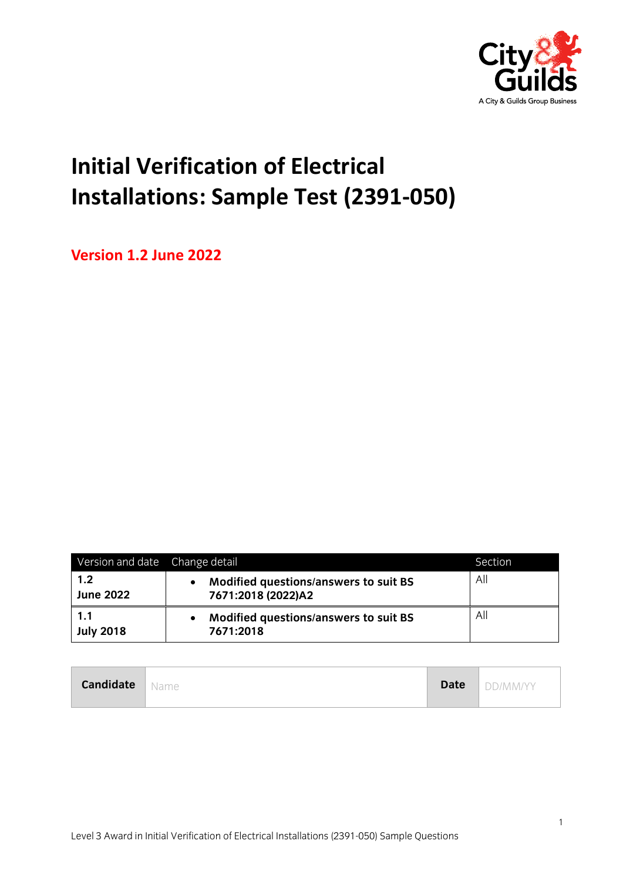

## **Initial Verification of Electrical Installations: Sample Test (2391-050)**

**Version 1.2 June 2022**

| Version and date Change detail |                                                             | Section |
|--------------------------------|-------------------------------------------------------------|---------|
| 1.2<br><b>June 2022</b>        | Modified questions/answers to suit BS<br>7671:2018 (2022)A2 | All     |
| 1.1<br><b>July 2018</b>        | Modified questions/answers to suit BS<br>7671:2018          | All     |

| <b>Candidate</b> | ' Name | <b>Date</b> | DD/MM/YY |
|------------------|--------|-------------|----------|
|------------------|--------|-------------|----------|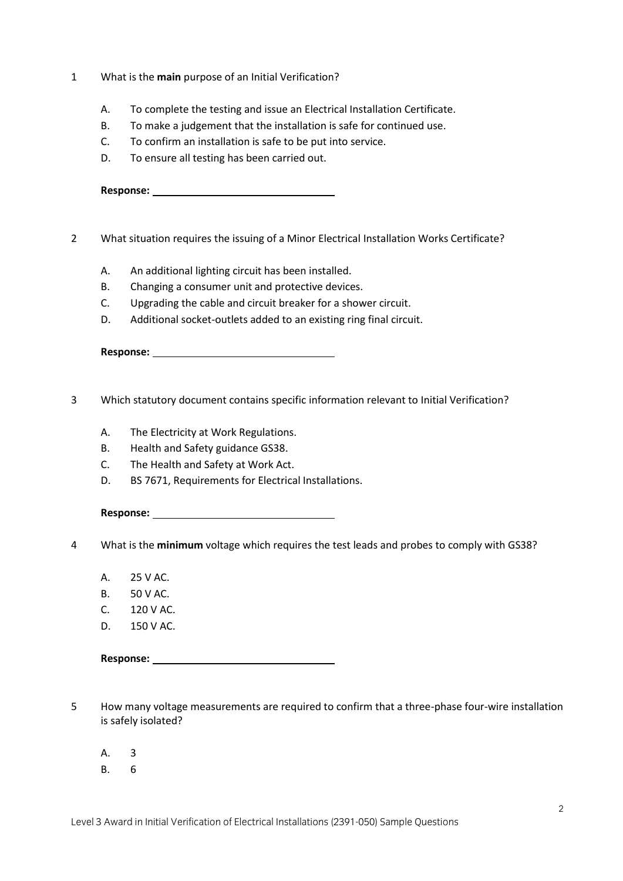- 1 What is the **main** purpose of an Initial Verification?
	- A. To complete the testing and issue an Electrical Installation Certificate.
	- B. To make a judgement that the installation is safe for continued use.
	- C. To confirm an installation is safe to be put into service.
	- D. To ensure all testing has been carried out.

| <b>Response:</b> |  |
|------------------|--|
|                  |  |

- 2 What situation requires the issuing of a Minor Electrical Installation Works Certificate?
	- A. An additional lighting circuit has been installed.
	- B. Changing a consumer unit and protective devices.
	- C. Upgrading the cable and circuit breaker for a shower circuit.
	- D. Additional socket-outlets added to an existing ring final circuit.

- 3 Which statutory document contains specific information relevant to Initial Verification?
	- A. The Electricity at Work Regulations.
	- B. Health and Safety guidance GS38.
	- C. The Health and Safety at Work Act.
	- D. BS 7671, Requirements for Electrical Installations.

- 4 What is the **minimum** voltage which requires the test leads and probes to comply with GS38?
	- A. 25 V AC.
	- B. 50 V AC.
	- C. 120 V AC.
	- D. 150 V AC.

- 5 How many voltage measurements are required to confirm that a three-phase four-wire installation is safely isolated?
	- A. 3
	- B. 6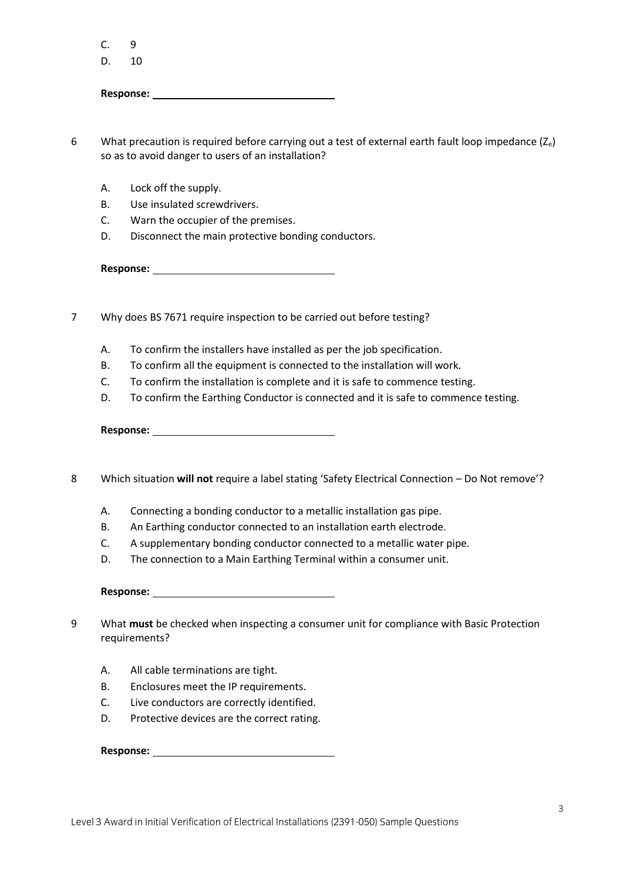$C. 9$ 

D. 10

**Response:** 

6 What precaution is required before carrying out a test of external earth fault loop impedance  $(Z_e)$ so as to avoid danger to users of an installation?

- A. Lock off the supply.
- B. Use insulated screwdrivers.
- C. Warn the occupier of the premises.
- D. Disconnect the main protective bonding conductors.

**Response:** 

- 7 Why does BS 7671 require inspection to be carried out before testing?
	- A. To confirm the installers have installed as per the job specification.
	- B. To confirm all the equipment is connected to the installation will work.
	- C. To confirm the installation is complete and it is safe to commence testing.
	- D. To confirm the Earthing Conductor is connected and it is safe to commence testing.

**Response:** 

- 8 Which situation **will not** require a label stating 'Safety Electrical Connection Do Not remove'?
	- A. Connecting a bonding conductor to a metallic installation gas pipe.
	- B. An Earthing conductor connected to an installation earth electrode.
	- C. A supplementary bonding conductor connected to a metallic water pipe.
	- D. The connection to a Main Earthing Terminal within a consumer unit.

**Response:** 

- 9 What **must** be checked when inspecting a consumer unit for compliance with Basic Protection requirements?
	- A. All cable terminations are tight.
	- B. Enclosures meet the IP requirements.
	- C. Live conductors are correctly identified.
	- D. Protective devices are the correct rating.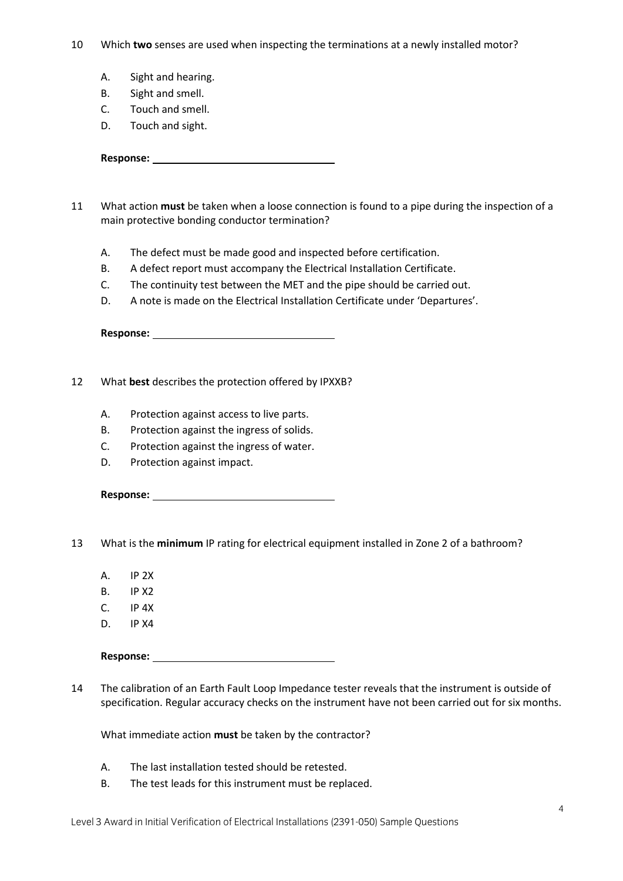- 10 Which **two** senses are used when inspecting the terminations at a newly installed motor?
	- A. Sight and hearing.
	- B. Sight and smell.
	- C. Touch and smell.
	- D. Touch and sight.

- 11 What action **must** be taken when a loose connection is found to a pipe during the inspection of a main protective bonding conductor termination?
	- A. The defect must be made good and inspected before certification.
	- B. A defect report must accompany the Electrical Installation Certificate.
	- C. The continuity test between the MET and the pipe should be carried out.
	- D. A note is made on the Electrical Installation Certificate under 'Departures'.

**Response:** 

- 12 What **best** describes the protection offered by IPXXB?
	- A. Protection against access to live parts.
	- B. Protection against the ingress of solids.
	- C. Protection against the ingress of water.
	- D. Protection against impact.

**Response:** 

13 What is the **minimum** IP rating for electrical equipment installed in Zone 2 of a bathroom?

- A. IP 2X
- B. IP X2
- C. IP 4X
- D. IP X4
- **Response:**

14 The calibration of an Earth Fault Loop Impedance tester reveals that the instrument is outside of specification. Regular accuracy checks on the instrument have not been carried out for six months.

What immediate action **must** be taken by the contractor?

- A. The last installation tested should be retested.
- B. The test leads for this instrument must be replaced.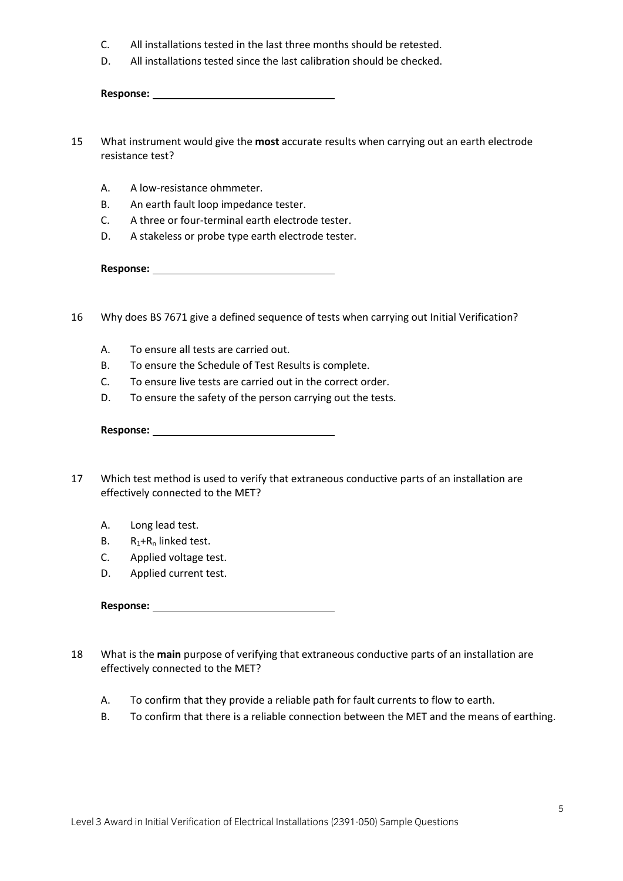- C. All installations tested in the last three months should be retested.
- D. All installations tested since the last calibration should be checked.

- 15 What instrument would give the **most** accurate results when carrying out an earth electrode resistance test?
	- A. A low-resistance ohmmeter.
	- B. An earth fault loop impedance tester.
	- C. A three or four-terminal earth electrode tester.
	- D. A stakeless or probe type earth electrode tester.

**Response:** 

- 16 Why does BS 7671 give a defined sequence of tests when carrying out Initial Verification?
	- A. To ensure all tests are carried out.
	- B. To ensure the Schedule of Test Results is complete.
	- C. To ensure live tests are carried out in the correct order.
	- D. To ensure the safety of the person carrying out the tests.

- 17 Which test method is used to verify that extraneous conductive parts of an installation are effectively connected to the MET?
	- A. Long lead test.
	- B.  $R_1 + R_n$  linked test.
	- C. Applied voltage test.
	- D. Applied current test.

- 18 What is the **main** purpose of verifying that extraneous conductive parts of an installation are effectively connected to the MET?
	- A. To confirm that they provide a reliable path for fault currents to flow to earth.
	- B. To confirm that there is a reliable connection between the MET and the means of earthing.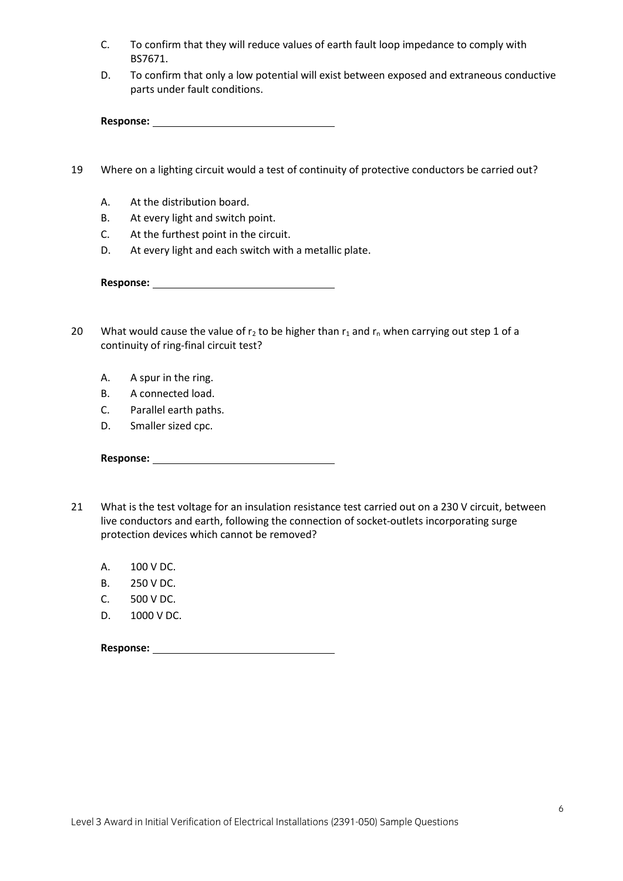- C. To confirm that they will reduce values of earth fault loop impedance to comply with BS7671.
- D. To confirm that only a low potential will exist between exposed and extraneous conductive parts under fault conditions.

- 19 Where on a lighting circuit would a test of continuity of protective conductors be carried out?
	- A. At the distribution board.
	- B. At every light and switch point.
	- C. At the furthest point in the circuit.
	- D. At every light and each switch with a metallic plate.

- 20 What would cause the value of  $r_2$  to be higher than  $r_1$  and  $r_n$  when carrying out step 1 of a continuity of ring-final circuit test?
	- A. A spur in the ring.
	- B. A connected load.
	- C. Parallel earth paths.
	- D. Smaller sized cpc.

- 21 What is the test voltage for an insulation resistance test carried out on a 230 V circuit, between live conductors and earth, following the connection of socket-outlets incorporating surge protection devices which cannot be removed?
	- A. 100 V DC.
	- B. 250 V DC.
	- C. 500 V DC.
	- D. 1000 V DC.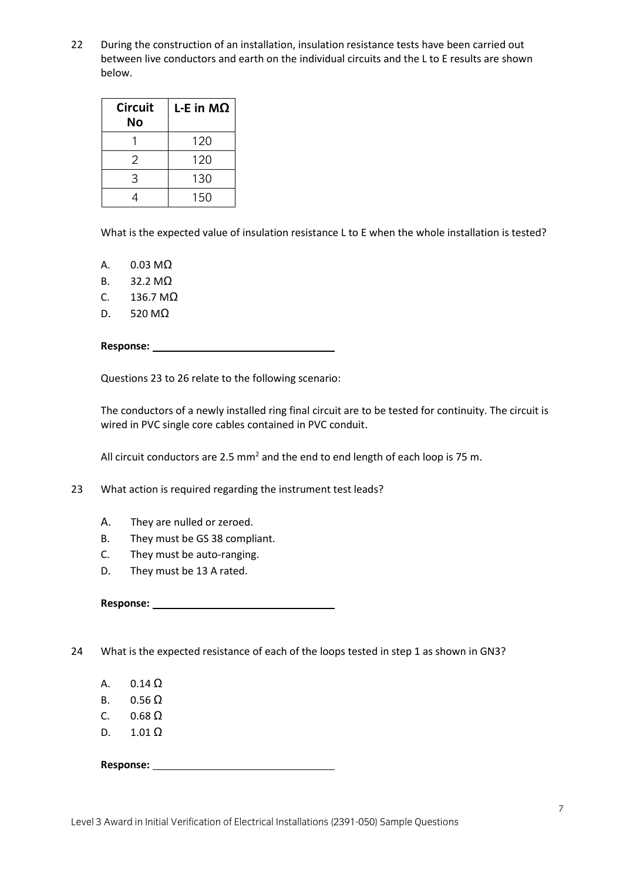22 During the construction of an installation, insulation resistance tests have been carried out between live conductors and earth on the individual circuits and the L to E results are shown below.

| L-E in $MΩ$ |
|-------------|
| 120         |
| 120         |
| 130         |
| 150         |
|             |

What is the expected value of insulation resistance L to E when the whole installation is tested?

A.  $0.03 \text{ M}\Omega$ 

- B. 32.2 MΩ
- C.  $136.7 \text{ M}\Omega$
- D. 520 MΩ

**Response:** 

Questions 23 to 26 relate to the following scenario:

The conductors of a newly installed ring final circuit are to be tested for continuity. The circuit is wired in PVC single core cables contained in PVC conduit.

All circuit conductors are 2.5 mm<sup>2</sup> and the end to end length of each loop is 75 m.

23 What action is required regarding the instrument test leads?

- A. They are nulled or zeroed.
- B. They must be GS 38 compliant.
- C. They must be auto-ranging.
- D. They must be 13 A rated.

**Response:** 

24 What is the expected resistance of each of the loops tested in step 1 as shown in GN3?

- A.  $0.14 \Omega$
- B.  $0.56 \Omega$
- C.  $0.68 \Omega$
- D.  $1.01 \Omega$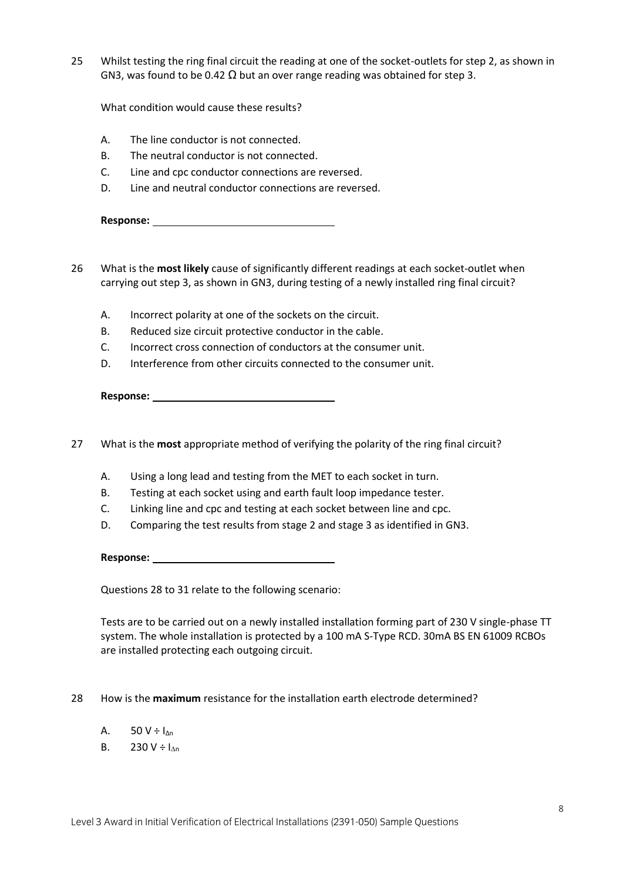25 Whilst testing the ring final circuit the reading at one of the socket-outlets for step 2, as shown in GN3, was found to be 0.42  $\Omega$  but an over range reading was obtained for step 3.

What condition would cause these results?

- A. The line conductor is not connected.
- B. The neutral conductor is not connected.
- C. Line and cpc conductor connections are reversed.
- D. Line and neutral conductor connections are reversed.

**Response:** 

- 26 What is the **most likely** cause of significantly different readings at each socket-outlet when carrying out step 3, as shown in GN3, during testing of a newly installed ring final circuit?
	- A. Incorrect polarity at one of the sockets on the circuit.
	- B. Reduced size circuit protective conductor in the cable.
	- C. Incorrect cross connection of conductors at the consumer unit.
	- D. Interference from other circuits connected to the consumer unit.

**Response:** 

- 27 What is the **most** appropriate method of verifying the polarity of the ring final circuit?
	- A. Using a long lead and testing from the MET to each socket in turn.
	- B. Testing at each socket using and earth fault loop impedance tester.
	- C. Linking line and cpc and testing at each socket between line and cpc.
	- D. Comparing the test results from stage 2 and stage 3 as identified in GN3.

**Response:** 

Questions 28 to 31 relate to the following scenario:

Tests are to be carried out on a newly installed installation forming part of 230 V single-phase TT system. The whole installation is protected by a 100 mA S-Type RCD. 30mA BS EN 61009 RCBOs are installed protecting each outgoing circuit.

- 28 How is the **maximum** resistance for the installation earth electrode determined?
	- A.  $50 V \div I_{\Delta n}$
	- B. 230 V ÷  $I_{\text{An}}$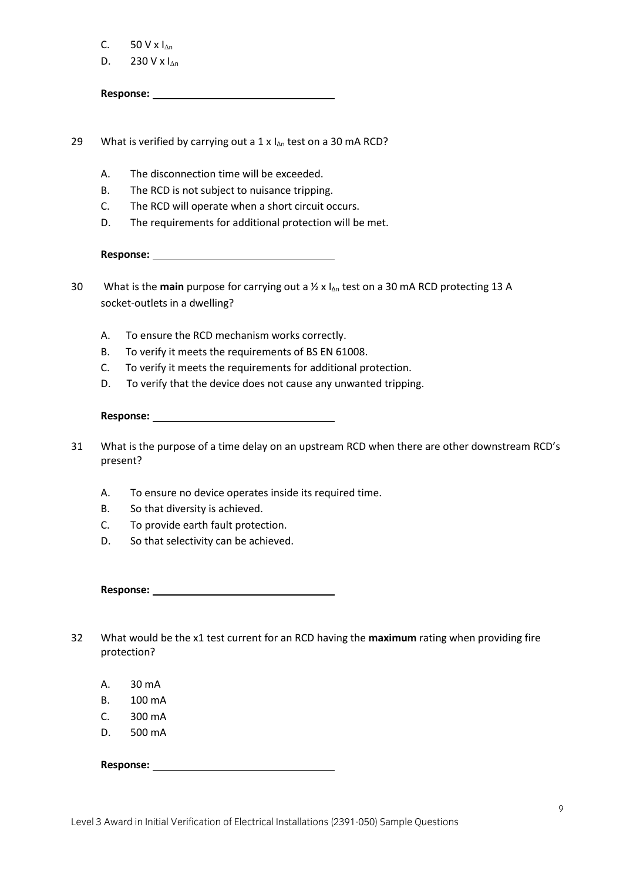|  | 50 V x $I_{\Delta n}$ |  |  |
|--|-----------------------|--|--|
|--|-----------------------|--|--|

D. 230 V x  $I_{\Delta n}$ 

**Response:** 

29 What is verified by carrying out a 1 x  $I_{\Delta n}$  test on a 30 mA RCD?

- A. The disconnection time will be exceeded.
- B. The RCD is not subject to nuisance tripping.
- C. The RCD will operate when a short circuit occurs.
- D. The requirements for additional protection will be met.

**Response:** 

- 30 What is the **main** purpose for carrying out a ½ x l<sub>Δn</sub> test on a 30 mA RCD protecting 13 A socket-outlets in a dwelling?
	- A. To ensure the RCD mechanism works correctly.
	- B. To verify it meets the requirements of BS EN 61008.
	- C. To verify it meets the requirements for additional protection.
	- D. To verify that the device does not cause any unwanted tripping.

## **Response:**

- 31 What is the purpose of a time delay on an upstream RCD when there are other downstream RCD's present?
	- A. To ensure no device operates inside its required time.
	- B. So that diversity is achieved.
	- C. To provide earth fault protection.
	- D. So that selectivity can be achieved.

**Response:** 

- 32 What would be the x1 test current for an RCD having the **maximum** rating when providing fire protection?
	- A. 30 mA
	- B. 100 mA
	- C. 300 mA
	- D. 500 mA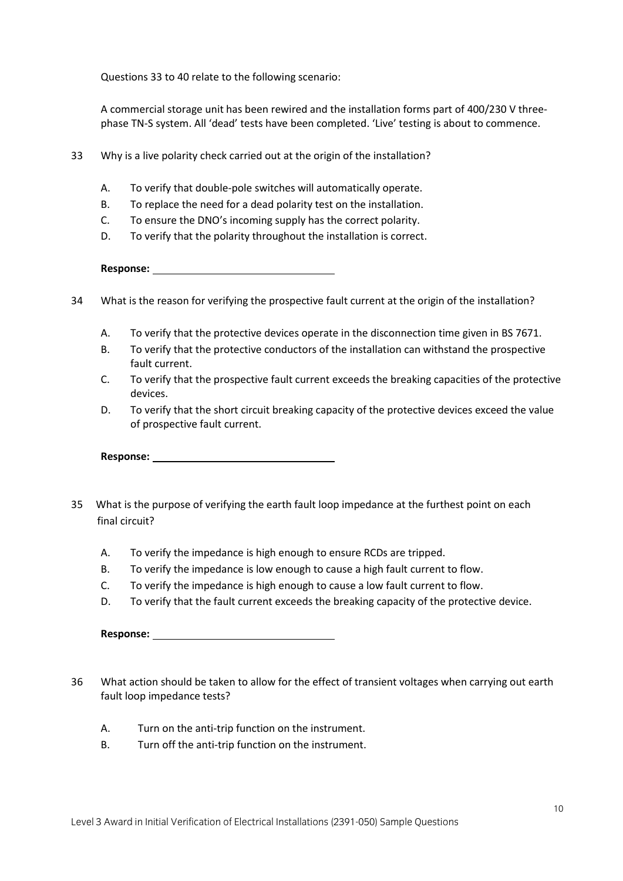Questions 33 to 40 relate to the following scenario:

A commercial storage unit has been rewired and the installation forms part of 400/230 V threephase TN-S system. All 'dead' tests have been completed. 'Live' testing is about to commence.

- 33 Why is a live polarity check carried out at the origin of the installation?
	- A. To verify that double-pole switches will automatically operate.
	- B. To replace the need for a dead polarity test on the installation.
	- C. To ensure the DNO's incoming supply has the correct polarity.
	- D. To verify that the polarity throughout the installation is correct.

- 34 What is the reason for verifying the prospective fault current at the origin of the installation?
	- A. To verify that the protective devices operate in the disconnection time given in BS 7671.
	- B. To verify that the protective conductors of the installation can withstand the prospective fault current.
	- C. To verify that the prospective fault current exceeds the breaking capacities of the protective devices.
	- D. To verify that the short circuit breaking capacity of the protective devices exceed the value of prospective fault current.

**Response:** 

- 35 What is the purpose of verifying the earth fault loop impedance at the furthest point on each final circuit?
	- A. To verify the impedance is high enough to ensure RCDs are tripped.
	- B. To verify the impedance is low enough to cause a high fault current to flow.
	- C. To verify the impedance is high enough to cause a low fault current to flow.
	- D. To verify that the fault current exceeds the breaking capacity of the protective device.

| <b>Response:</b> |  |
|------------------|--|
|                  |  |

- 36 What action should be taken to allow for the effect of transient voltages when carrying out earth fault loop impedance tests?
	- A. Turn on the anti-trip function on the instrument.
	- B. Turn off the anti-trip function on the instrument.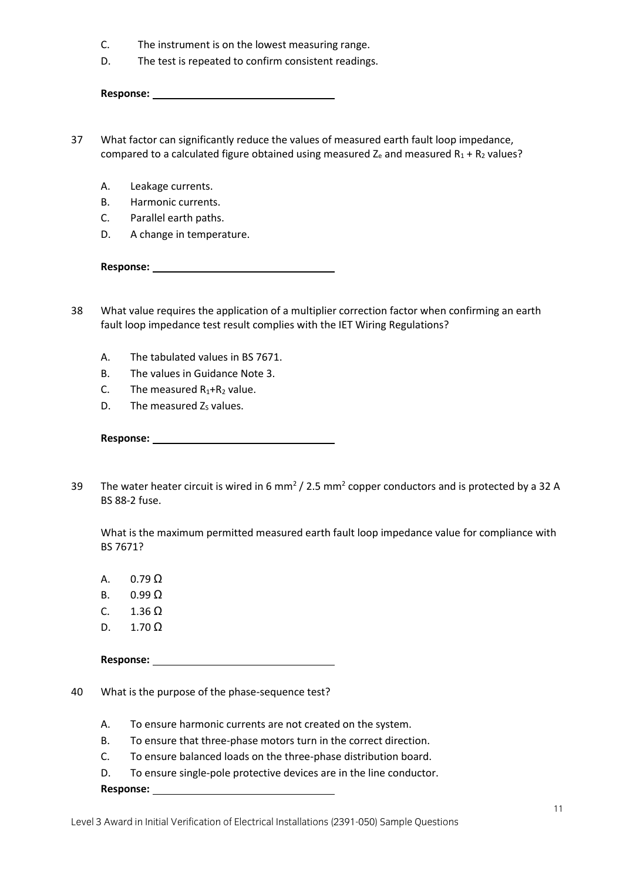- C. The instrument is on the lowest measuring range.
- D. The test is repeated to confirm consistent readings.

| <b>Response:</b> |  |
|------------------|--|
|                  |  |

- 37 What factor can significantly reduce the values of measured earth fault loop impedance, compared to a calculated figure obtained using measured  $Z_e$  and measured  $R_1 + R_2$  values?
	- A. Leakage currents.
	- B. Harmonic currents.
	- C. Parallel earth paths.
	- D. A change in temperature.

- 38 What value requires the application of a multiplier correction factor when confirming an earth fault loop impedance test result complies with the IET Wiring Regulations?
	- A. The tabulated values in BS 7671.
	- B. The values in Guidance Note 3.
	- C. The measured  $R_1 + R_2$  value.
	- D. The measured  $Z<sub>S</sub>$  values.

| <b>Response:</b> |  |
|------------------|--|
|                  |  |

39 The water heater circuit is wired in 6 mm<sup>2</sup> / 2.5 mm<sup>2</sup> copper conductors and is protected by a 32 A BS 88-2 fuse.

What is the maximum permitted measured earth fault loop impedance value for compliance with BS 7671?

- A.  $0.79 \Omega$
- B.  $0.99 \Omega$
- C.  $1.36 \Omega$
- D.  $1.70 \Omega$

**Response:** 

- 40 What is the purpose of the phase-sequence test?
	- A. To ensure harmonic currents are not created on the system.
	- B. To ensure that three-phase motors turn in the correct direction.
	- C. To ensure balanced loads on the three-phase distribution board.
	- D. To ensure single-pole protective devices are in the line conductor.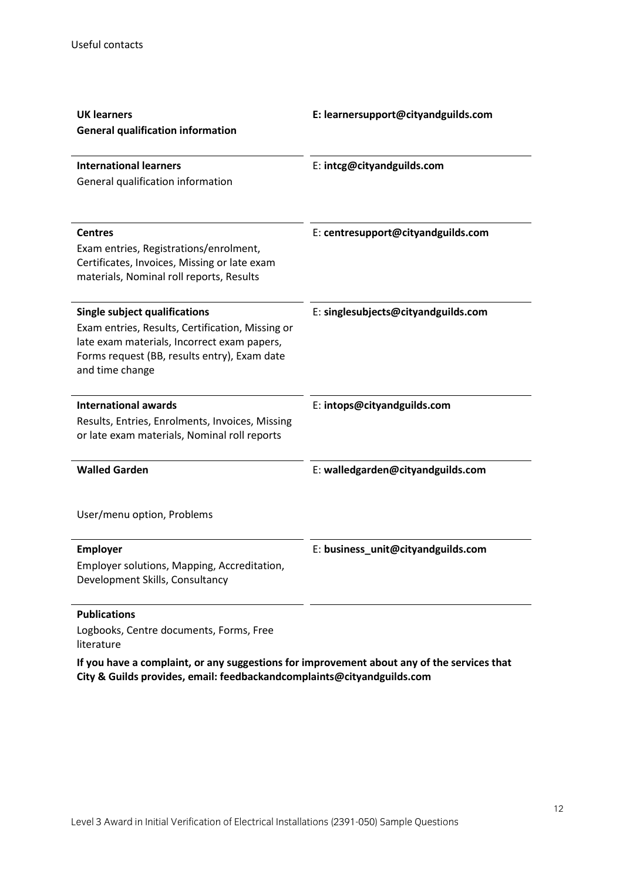| <b>UK learners</b><br><b>General qualification information</b>                                                                                                                                             | E: learnersupport@cityandguilds.com |
|------------------------------------------------------------------------------------------------------------------------------------------------------------------------------------------------------------|-------------------------------------|
| <b>International learners</b><br>General qualification information                                                                                                                                         | E: intcg@cityandguilds.com          |
| <b>Centres</b><br>Exam entries, Registrations/enrolment,<br>Certificates, Invoices, Missing or late exam<br>materials, Nominal roll reports, Results                                                       | E: centresupport@cityandguilds.com  |
| <b>Single subject qualifications</b><br>Exam entries, Results, Certification, Missing or<br>late exam materials, Incorrect exam papers,<br>Forms request (BB, results entry), Exam date<br>and time change | E: singlesubjects@cityandguilds.com |
| <b>International awards</b><br>Results, Entries, Enrolments, Invoices, Missing<br>or late exam materials, Nominal roll reports                                                                             | E: intops@cityandguilds.com         |
| <b>Walled Garden</b>                                                                                                                                                                                       | E: walledgarden@cityandguilds.com   |
| User/menu option, Problems                                                                                                                                                                                 |                                     |
| <b>Employer</b><br>Employer solutions, Mapping, Accreditation,<br>Development Skills, Consultancy                                                                                                          | E: business_unit@cityandguilds.com  |
| <b>Publications</b>                                                                                                                                                                                        |                                     |

Logbooks, Centre documents, Forms, Free

literature

**If you have a complaint, or any suggestions for improvement about any of the services that City & Guilds provides, email: feedbackandcomplaints@cityandguilds.com**